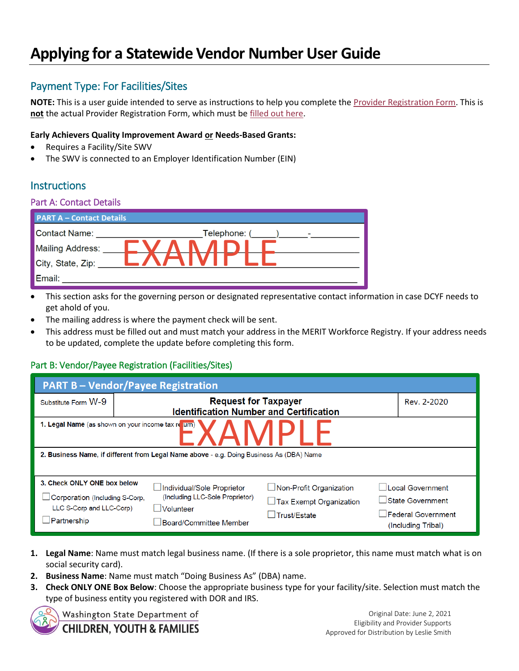# **Applying for a Statewide Vendor Number User Guide**

# Payment Type: For Facilities/Sites

**NOTE:** This is a user guide intended to serve as instructions to help you complete the [Provider Registration Form.](https://www.dcyf.wa.gov/sites/default/files/forms/ProviderRegistrationForm.pdf) This is **not** the actual Provider Registration Form, which must b[e filled out here.](https://www.dcyf.wa.gov/sites/default/files/forms/ProviderRegistrationForm.pdf)

#### **Early Achievers Quality Improvement Award or Needs-Based Grants:**

- Requires a Facility/Site SWV
- The SWV is connected to an Employer Identification Number (EIN)

## **Instructions**

#### Part A: Contact Details

| <b>PART A - Contact Details</b> |              |  |  |  |
|---------------------------------|--------------|--|--|--|
| <b>Contact Name:</b>            | Telephone: ( |  |  |  |
| <b>Mailing Address:</b>         |              |  |  |  |
| City, State, Zip:               |              |  |  |  |
| Email:                          |              |  |  |  |

- This section asks for the governing person or designated representative contact information in case DCYF needs to get ahold of you.
- The mailing address is where the payment check will be sent.
- This address must be filled out and must match your address in the MERIT Workforce Registry. If your address needs to be updated, complete the update before completing this form.

### Part B: Vendor/Payee Registration (Facilities/Sites)

| <b>PART B-Vendor/Payee Registration</b>                                                                          |                                                                                                               |                                                                                  |                                                                                         |  |  |  |
|------------------------------------------------------------------------------------------------------------------|---------------------------------------------------------------------------------------------------------------|----------------------------------------------------------------------------------|-----------------------------------------------------------------------------------------|--|--|--|
| Substitute Form W-9                                                                                              |                                                                                                               | <b>Request for Taxpayer</b><br><b>Identification Number and Certification</b>    |                                                                                         |  |  |  |
| 1. Legal Name (as shown on your income tax re urn)                                                               |                                                                                                               |                                                                                  |                                                                                         |  |  |  |
| 2. Business Name, if different from Legal Name above - e.g. Doing Business As (DBA) Name                         |                                                                                                               |                                                                                  |                                                                                         |  |  |  |
| 3. Check ONLY ONE box below<br>$\Box$ Corporation (Including S-Corp.<br>LLC S-Corp and LLC-Corp)<br>⊥Partnership | ∟Individual/Sole Proprietor<br>(Including LLC-Sole Proprietor)<br>$\Box$ Volunteer<br>⊿Board/Committee Member | Non-Profit Organization<br>$\Box$ Tax Exempt Organization<br>$\Box$ Trust/Estate | Local Government<br>State Government<br>$\Box$ Federal Government<br>(Including Tribal) |  |  |  |

- **1. Legal Name**: Name must match legal business name. (If there is a sole proprietor, this name must match what is on social security card).
- **2. Business Name**: Name must match "Doing Business As" (DBA) name.
- **3. Check ONLY ONE Box Below**: Choose the appropriate business type for your facility/site. Selection must match the type of business entity you registered with DOR and IRS.

Washington State Department of

**CHILDREN, YOUTH & FAMILIES** 

Original Date: June 2, 2021 Eligibility and Provider Supports Approved for Distribution by Leslie Smith